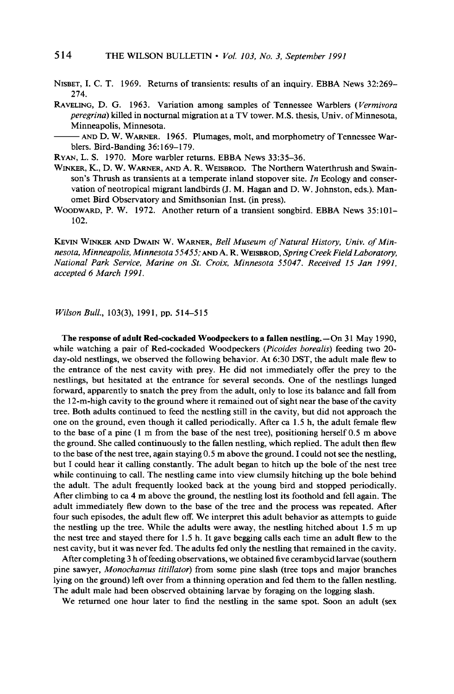- **NISBET, I. C. T. 1969. Returns of transients: results of an inquiry. EBBA News 32:269- 274.**
- **RAVELING, D. G. 1963. Variation among samples of Tennessee Warblers (Vermivora peregrina) killed in nocturnal migration at a TV tower. MS. thesis, Univ. of Minnesota, Minneapolis, Minnesota.**

**- AND D. W. WARNER. 1965. Plumages, molt, and morphometry of Tennessee Warblers. Bird-Banding 36: 169-179.** 

**RYAN, L. S. 1970. More warbler returns. EBBA News 33:35-36.** 

- **WINKER, K., D. W. WARNER, AND A. R. WEISBROD. The Northern Waterthrush and Swain**son's Thrush as transients at a temperate inland stopover site. In Ecology and conser**vation of neotropical migrant landbirds (J. M. Hagan and D. W. Johnston, eds.). Manomet Bird Observatory and Smithsonian Inst. (in press).**
- WOODWARD, P. W. 1972. Another return of a transient songbird. EBBA News 35:101– **102.**

**KEVIN WINKER AND DWAIN W. WARNER, Bell Museum of Natural History, Univ. of Minnesota, Minneapolis, Minnesota 55455; AND A. R. WEISBROD, Spring Creek Field Laboratory, National Park Service, Marine on St. Croix, Minnesota 55047. Received I5 Jan 1991, accepted 6 March 1991.** 

## **Wilson Bull., 103(3), 1991, pp. 514-515**

The response of adult Red-cockaded Woodpeckers to a fallen nestling. - On 31 May 1990, **while watching a pair of Red-cockaded Woodpeckers (Picoides borealis) feeding two 20 day-old nestlings, we observed the following behavior. At 6:30 DST, the adult male flew to the entrance of the nest cavity with prey. He did not immediately offer the prey to the nestlings, but hesitated at the entrance for several seconds. One of the nestlings lunged forward, apparently to snatch the prey from the adult, only to lose its balance and fall from**  the 12-m-high cavity to the ground where it remained out of sight near the base of the cavity **tree. Both adults continued to feed the nestling still in the cavity, but did not approach the one on the ground, even though it called periodically. After ca 1.5 h, the adult female flew to the base of a pine (1 m from the base of the nest tree), positioning herself 0.5 m above the ground. She called continuously to the fallen nestling, which replied. The adult then flew to the base of the nest tree, again staying 0.5 m above the ground. I could not see the nestling, but I could hear it calling constantly. The adult began to hitch up the bole of the nest tree while continuing to call. The nestling came into view clumsily hitching up the bole behind the adult. The adult frequently looked back at the young bird and stopped periodically. After climbing to ca 4 m above the ground, the nestling lost its foothold and fell again. The adult immediately flew down to the base of the tree and the process was repeated. After four such episodes, the adult flew off. We interpret this adult behavior as attempts to guide the nestling up the tree. While the adults were away, the nestling hitched about 1.5 m up the nest tree and stayed there for 1.5 h. It gave begging calls each time an adult flew to the nest cavity, but it was never fed. The adults fed only the nestling that remained in the cavity.** 

**After completing 3 h of feeding observations, we obtained five cerambycid larvae (southern pine sawyer, Monochamus titillator) from some pine slash (tree tops and major branches lying on the ground) left over from a thinning operation and fed them to the fallen nestling. The adult male had been observed obtaining larvae by foraging on the logging slash.** 

**We returned one hour later to find the nestling in the same spot. Soon an adult (sex**